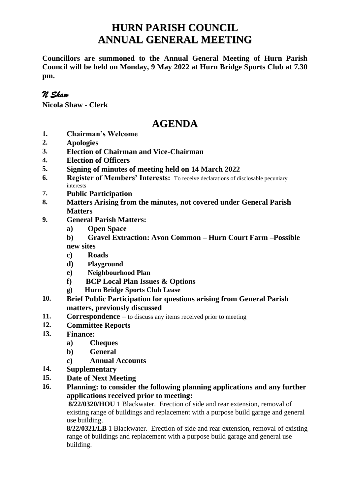## **HURN PARISH COUNCIL ANNUAL GENERAL MEETING**

**Councillors are summoned to the Annual General Meeting of Hurn Parish Council will be held on Monday, 9 May 2022 at Hurn Bridge Sports Club at 7.30 pm.**

## *N Shaw*

**Nicola Shaw - Clerk**

## **AGENDA**

- **1. Chairman's Welcome**
- **2. Apologies**
- **3. Election of Chairman and Vice-Chairman**
- **4. Election of Officers**
- **5. Signing of minutes of meeting held on 14 March 2022**
- **6. Register of Members' Interests:** To receive declarations of disclosable pecuniary interests
- **7. Public Participation**
- **8. Matters Arising from the minutes, not covered under General Parish Matters**
- **9. General Parish Matters:**
	- **a) Open Space**
	- **b) Gravel Extraction: Avon Common – Hurn Court Farm –Possible new sites**

**c) Roads**

- **d) Playground**
- **e) Neighbourhood Plan**
- **f) BCP Local Plan Issues & Options**
- **g) Hurn Bridge Sports Club Lease**
- **10. Brief Public Participation for questions arising from General Parish matters, previously discussed**
- **11. Correspondence –** to discuss any items received prior to meeting
- **12. Committee Reports**
- **13. Finance:**
	- **a) Cheques**
	- **b) General**
	- **c) Annual Accounts**
- **14. Supplementary**
- **15. Date of Next Meeting**
- **16. Planning: to consider the following planning applications and any further applications received prior to meeting:**

**8/22/0320/HOU** 1 Blackwater. Erection of side and rear extension, removal of existing range of buildings and replacement with a purpose build garage and general use building.

**8/22/0321/LB** 1 Blackwater. Erection of side and rear extension, removal of existing range of buildings and replacement with a purpose build garage and general use building.